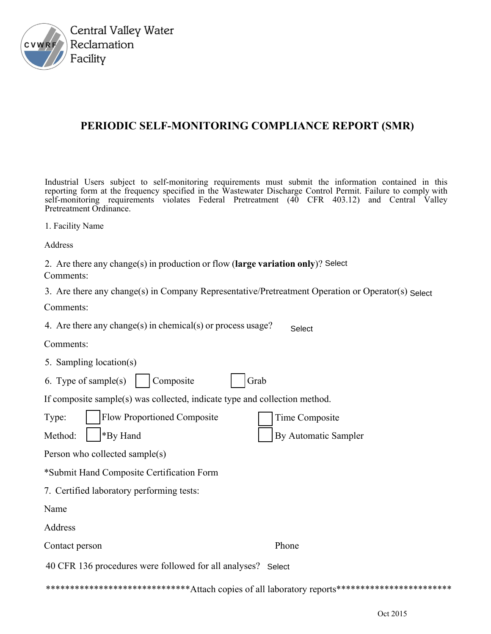

## PERIODIC SELF-MONITORING COMPLIANCE REPORT (SMR)

Industrial Users subject to self-monitoring requirements must submit the information contained in this reporting form at the frequency specified in the Wastewater Discharge Control Permit. Failure to comply with self-monitoring requirements violates Federal Pretreatment (40 CFR 403.12) and Central Valley Pretreatment Ordinance.

| 1. Facility Name |  |
|------------------|--|
|------------------|--|

Address

| 2. Are there any change(s) in production or flow (large variation only)? Select |  |
|---------------------------------------------------------------------------------|--|
| Comments:                                                                       |  |

3. Are there any change(s) in Company Representative/Pretreatment Operation or Operator(s) Select

Comments:

4. Are there any change(s) in chemical(s) or process usage? Select

Comments:

- 5. Sampling location(s)
- 6. Type of sample(s)  $\vert$ Composite Grab

If composite sample(s) was collected, indicate type and collection method.

| Type:                                     | <b>Flow Proportioned Composite</b> | Time Composite       |  |  |  |  |  |  |
|-------------------------------------------|------------------------------------|----------------------|--|--|--|--|--|--|
|                                           | Method: $\parallel$ *By Hand       | By Automatic Sampler |  |  |  |  |  |  |
| Person who collected sample(s)            |                                    |                      |  |  |  |  |  |  |
| *Submit Hand Composite Certification Form |                                    |                      |  |  |  |  |  |  |

7. Certified laboratory performing tests:

Name

Address

Contact person Phone

40 CFR 136 procedures were followed for all analyses? Select

\*\*\*\*\*\*\*\*\*\*\*\*\*\*\*\*\*\*\*\*\*\*\*\*\*\*\*\*\*\*\*\*Attach copies of all laboratory reports\*\*\*\*\*\*\*\*\*\*\*\*\*\*\*\*\*\*\*\*\*\*\*\*\*